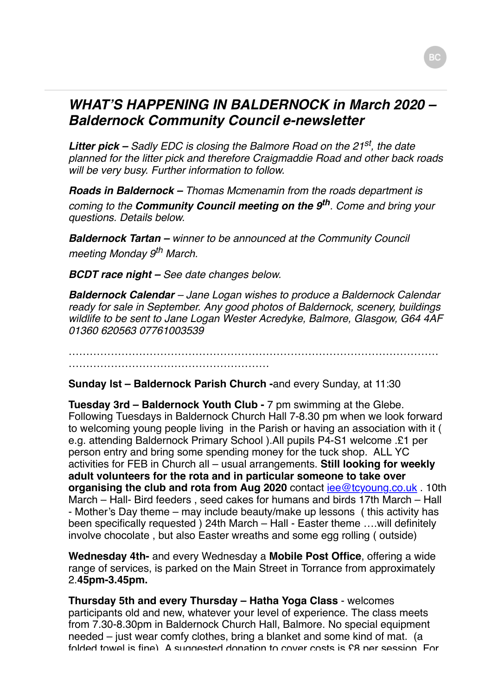## *WHAT'S HAPPENING IN BALDERNOCK in March 2020 – Baldernock Community Council e-newsletter*

*Litter pick – Sadly EDC is closing the Balmore Road on the 21st, the date planned for the litter pick and therefore Craigmaddie Road and other back roads will be very busy. Further information to follow.*

*Roads in Baldernock – Thomas Mcmenamin from the roads department is coming to the Community Council meeting on the 9th. Come and bring your questions. Details below.*

*Baldernock Tartan – winner to be announced at the Community Council meeting Monday 9th March.*

*BCDT race night – See date changes below.*

*Baldernock Calendar – Jane Logan wishes to produce a Baldernock Calendar ready for sale in September. Any good photos of Baldernock, scenery, buildings wildlife to be sent to Jane Logan Wester Acredyke, Balmore, Glasgow, G64 4AF 01360 620563 07761003539*

……………………………………………………………………………………………

…………………………………………………

**Sunday lst – Baldernock Parish Church -**and every Sunday, at 11:30

**Tuesday 3rd – Baldernock Youth Club -** 7 pm swimming at the Glebe. Following Tuesdays in Baldernock Church Hall 7-8.30 pm when we look forward to welcoming young people living in the Parish or having an association with it ( e.g. attending Baldernock Primary School ).All pupils P4-S1 welcome .£1 per person entry and bring some spending money for the tuck shop. ALL YC activities for FEB in Church all – usual arrangements. **Still looking for weekly adult volunteers for the rota and in particular someone to take over organising the club and rota from Aug 2020** contact iee@tcyoung.co.uk. 10th March – Hall- Bird feeders , seed cakes for humans and birds 17th March – Hall - Mother's Day theme – may include beauty/make up lessons ( this activity has been specifically requested ) 24th March – Hall - Easter theme ….will definitely involve chocolate , but also Easter wreaths and some egg rolling ( outside)

**Wednesday 4th-** and every Wednesday a **Mobile Post Office**, offering a wide range of services, is parked on the Main Street in Torrance from approximately 2.**45pm-3.45pm.**

**Thursday 5th and every Thursday – Hatha Yoga Class** - welcomes participants old and new, whatever your level of experience. The class meets from 7.30-8.30pm in Baldernock Church Hall, Balmore. No special equipment needed – just wear comfy clothes, bring a blanket and some kind of mat. (a folded towel is fine). A suggested donation to cover costs is £8 per session. For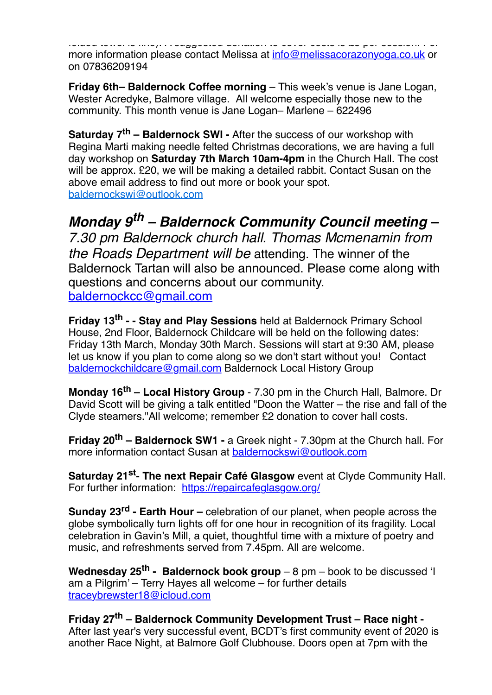folded towel is fine). A suggested donation to cover costs is £8 per session. For more information please contact Melissa at [info@melissacorazonyoga.co.uk](mailto:info@melissacorazonyoga.co.uk) or on 07836209194

**Friday 6th– Baldernock Coffee morning** – This week's venue is Jane Logan, Wester Acredyke, Balmore village. All welcome especially those new to the community. This month venue is Jane Logan– Marlene – 622496

**Saturday 7th – Baldernock SWI -** After the success of our workshop with Regina Marti making needle felted Christmas decorations, we are having a full day workshop on **Saturday 7th March 10am-4pm** in the Church Hall. The cost will be approx. £20, we will be making a detailed rabbit. Contact Susan on the above email address to find out more or book your spot. [baldernockswi@outlook.com](mailto:baldernockswi@outlook.com)

*Monday 9th – Baldernock Community Council meeting – 7.30 pm Baldernock church hall. Thomas Mcmenamin from the Roads Department will be* attending. The winner of the Baldernock Tartan will also be announced. Please come along with questions and concerns about our community. [baldernockcc@gmail.com](mailto:baldernockcc@gmail.com)

**Friday 13th - - Stay and Play Sessions** held at Baldernock Primary School House, 2nd Floor, Baldernock Childcare will be held on the following dates: Friday 13th March, Monday 30th March. Sessions will start at 9:30 AM, please let us know if you plan to come along so we don't start without you! Contact [baldernockchildcare@gmail.com](mailto:baldernockchildcare@gmail.com) Baldernock Local History Group

**Monday 16th – Local History Group** - 7.30 pm in the Church Hall, Balmore. Dr David Scott will be giving a talk entitled "Doon the Watter – the rise and fall of the Clyde steamers."All welcome; remember £2 donation to cover hall costs.

**Friday 20th – Baldernock SW1 -** a Greek night - 7.30pm at the Church hall. For more information contact Susan at [baldernockswi@outlook.com](mailto:baldernockswi@outlook.com)

**Saturday 21st- The next Repair Café Glasgow** event at Clyde Community Hall. For further information: <https://repaircafeglasgow.org/>

**Sunday 23rd - Earth Hour –** celebration of our planet, when people across the globe symbolically turn lights off for one hour in recognition of its fragility. Local celebration in Gavin's Mill, a quiet, thoughtful time with a mixture of poetry and music, and refreshments served from 7.45pm. All are welcome.

**Wednesday 25th - Baldernock book group** – 8 pm – book to be discussed 'I am a Pilgrim' – Terry Hayes all welcome – for further details [traceybrewster18@icloud.com](mailto:traceybrewster18@icloud.com)

**Friday 27th – Baldernock Community Development Trust – Race night -** After last year's very successful event, BCDT's first community event of 2020 is another Race Night, at Balmore Golf Clubhouse. Doors open at 7pm with the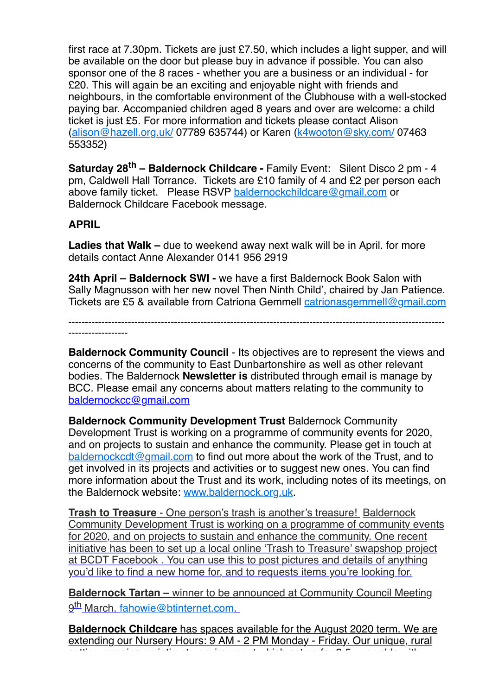first race at 7.30pm. Tickets are just £7.50, which includes a light supper, and will be available on the door but please buy in advance if possible. You can also sponsor one of the 8 races - whether you are a business or an individual - for £20. This will again be an exciting and enjoyable night with friends and neighbours, in the comfortable environment of the Clubhouse with a well-stocked paying bar. Accompanied children aged 8 years and over are welcome: a child ticket is just £5. For more information and tickets please contact Alison [\(alison@hazell.org.uk/](http://alison@hazell.org.uk/) 07789 635744) or Karen ([k4wooton@sky.com/](http://k4wooton@sky.com/) 07463 553352)

**Saturday 28th – Baldernock Childcare -** Family Event: Silent Disco 2 pm - 4 pm, Caldwell Hall Torrance. Tickets are £10 family of 4 and £2 per person each above family ticket. Please RSVP [baldernockchildcare@gmail.com](mailto:baldernockchildcare@gmail.com) or Baldernock Childcare Facebook message.

## **APRIL**

**Ladies that Walk –** due to weekend away next walk will be in April. for more details contact Anne Alexander 0141 956 2919

**24th April – Baldernock SWI -** we have a first Baldernock Book Salon with Sally Magnusson with her new novel Then Ninth Child', chaired by Jan Patience. Tickets are £5 & available from Catriona Gemmell [catrionasgemmell@gmail.com](mailto:catrionasgemmell@gmail.com)

------------------------------------------------------------------------------------------------------------------ ------------------

**Baldernock Community Council** - Its objectives are to represent the views and concerns of the community to East Dunbartonshire as well as other relevant bodies. The Baldernock **Newsletter is** distributed through email is manage by BCC. Please email any concerns about matters relating to the community to [baldernockcc@gmail.com](mailto:baldernockcc@gmail.com)

**Baldernock Community Development Trust** Baldernock Community Development Trust is working on a programme of community events for 2020, and on projects to sustain and enhance the community. Please get in touch at [baldernockcdt@gmail.com](mailto:baldernockcdt@gmail.com) to find out more about the work of the Trust, and to get involved in its projects and activities or to suggest new ones. You can find more information about the Trust and its work, including notes of its meetings, on the Baldernock website: [www.baldernock.org.uk.](http://www.baldernock.org.uk/)

**Trash to Treasure** - One person's trash is another's treasure! Baldernock Community Development Trust is working on a programme of community events for 2020, and on projects to sustain and enhance the community. One recent initiative has been to set up a local online 'Trash to Treasure' swapshop project at BCDT Facebook . You can use this to post pictures and details of anything you'd like to find a new home for, and to requests items you're looking for.

**Baldernock Tartan –** winner to be announced at Community Council Meeting 9<sup>th</sup> March, [fahowie@btinternet.com](mailto:fahowie@btinternet.com).

**Baldernock Childcare** has spaces available for the August 2020 term. We are extending our Nursery Hours: 9 AM - 2 PM Monday - Friday. Our unique, rural setting remains an intimate environment which caters for 2-5-year-olds with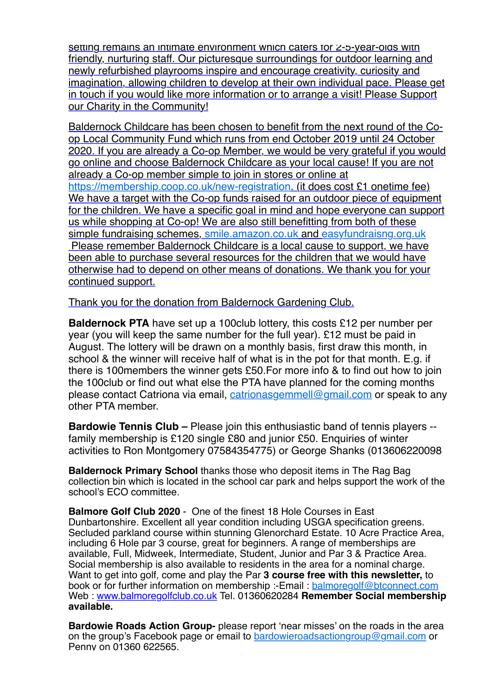setting remains an intimate environment which caters for  $2$ -5-year-olds with friendly, nurturing staff. Our picturesque surroundings for outdoor learning and newly refurbished playrooms inspire and encourage creativity, curiosity and imagination, allowing children to develop at their own individual pace. Please get in touch if you would like more information or to arrange a visit! Please Support our Charity in the Community!

Baldernock Childcare has been chosen to benefit from the next round of the Coop Local Community Fund which runs from end October 2019 until 24 October 2020. If you are already a Co-op Member, we would be very grateful if you would go online and choose Baldernock Childcare as your local cause! If you are not already a Co-op member simple to join in stores or online at [https://membership.coop.co.uk/new-registration.](https://membership.coop.co.uk/new-registration) (it does cost £1 onetime fee) We have a target with the Co-op funds raised for an outdoor piece of equipment for the children. We have a specific goal in mind and hope everyone can support us while shopping at Co-op! We are also still benefitting from both of these simple fundraising schemes, [smile.amazon.co.uk](http://smile.amazon.co.uk/) and [easyfundraisng.org.uk](http://easyfundraisng.org.uk/) Please remember Baldernock Childcare is a local cause to support, we have been able to purchase several resources for the children that we would have otherwise had to depend on other means of donations. We thank you for your continued support.

Thank you for the donation from Baldernock Gardening Club.

**Baldernock PTA** have set up a 100club lottery, this costs £12 per number per year (you will keep the same number for the full year). £12 must be paid in August. The lottery will be drawn on a monthly basis, first draw this month, in school & the winner will receive half of what is in the pot for that month. E.g. if there is 100members the winner gets £50.For more info & to find out how to join the 100club or find out what else the PTA have planned for the coming months please contact Catriona via email, [catrionasgemmell@gmail.com](mailto:catrionasgemmell@gmail.com) or speak to any other PTA member.

**Bardowie Tennis Club – Please join this enthusiastic band of tennis players -**family membership is £120 single £80 and junior £50. Enquiries of winter activities to Ron Montgomery 07584354775) or George Shanks (013606220098

**Baldernock Primary School** thanks those who deposit items in The Rag Bag collection bin which is located in the school car park and helps support the work of the school's ECO committee.

**Balmore Golf Club 2020** - One of the finest 18 Hole Courses in East Dunbartonshire. Excellent all year condition including USGA specification greens. Secluded parkland course within stunning Glenorchard Estate. 10 Acre Practice Area, including 6 Hole par 3 course, great for beginners. A range of memberships are available, Full, Midweek, Intermediate, Student, Junior and Par 3 & Practice Area. Social membership is also available to residents in the area for a nominal charge. Want to get into golf, come and play the Par **3 course free with this newsletter,** to book or for further information on membership :-Email : [balmoregolf@btconnect.com](mailto:balmoregolf@btconnect.com) Web : [www.balmoregolfclub.co.uk](http://www.balmoregolfclub.co.uk/) Tel. 01360620284 **Remember Social membership available.**

**Bardowie Roads Action Group-** please report 'near misses' on the roads in the area on the group's Facebook page or email to [bardowieroadsactiongroup@gmail.com](mailto:bardowieroadsactiongroup@gmail.com) or Penny on 01360 622565.